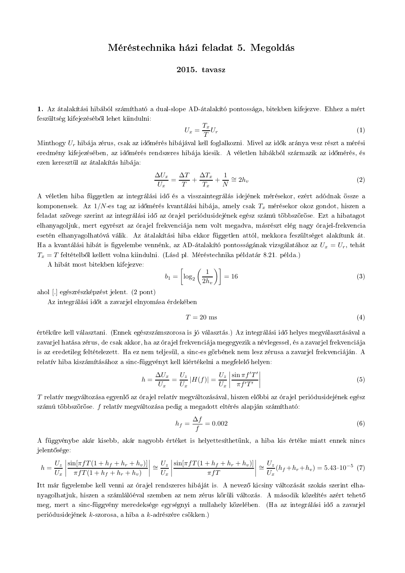## Méréstechnika házi feladat 5. Megoldás

## 2015. tavasz

1. Az átalakítási hibából számítható a dual-slope AD-átalakító pontossága, bitekben kifejezve. Ehhez a mért feszültség kifejezéséből lehet kiindulni:

$$
U_x = \frac{T_x}{T} U_r \tag{1}
$$

Minthogy  $U_r$  hibája zérus, csak az időmérés hibájával kell foglalkozni. Mivel az idők aránya vesz részt a mérési eredmény kifejezésében, az időmérés rendszeres hibája kiesik. A véletlen hibákból származik az időmérés, és ezen keresztül az átalakítás hibája:

$$
\frac{\Delta U_x}{U_x} = \frac{\Delta T}{T} + \frac{\Delta T_x}{T_x} + \frac{1}{N} \cong 2h_v
$$
\n(2)

A véletlen hiba független az integrálási idő és a visszaintegrálás idejének mérésekor, ezért adódnak össze a komponensek. Az  $1/N$ -es tag az időmérés kvantálási hibája, amely csak  $T_x$  mérésekor okoz gondot, hiszen a feladat szövege szerint az integrálási idő az órajel periódusidejének egész számú többszöröse. Ezt a hibatagot elhanyagoljuk, mert egyrészt az órajel frekvenciája nem volt megadva, másrészt elég nagy órajel-frekvencia esetén elhanyagolhatóvá válik. Az átalakítási hiba ekkor független attól, mekkora feszültséget alakítunk át. Ha a kvantálási hibát is figyelembe vennénk, az AD-átalakító pontosságának vizsgálatához az  $U_x = U_r$ , tehát  $T_x = T$  feltételből kellett volna kiindulni. (Lásd pl. Méréstechnika példatár 8.21. példa.)

A hibát most bitekben kifejezve:

$$
b_1 = \left[\log_2\left(\frac{1}{2h_v}\right)\right] = 16\tag{3}
$$

ahol [.] egészrészképzést jelent. (2 pont)

Az integrálási időt a zavarjel elnyomása érdekében

$$
T = 20 \text{ ms} \tag{4}
$$

értékűre kell választani. (Ennek egészszámszorosa is jó választás.) Az integrálási idő helyes megyálasztásával a zavarjel hatása zérus, de csak akkor, ha az órajel frekvenciája megegyezik a névlegessel, és a zavarjel frekvenciája is az eredetileg feltételezett. Ha ez nem teljesül, a sinc-es görbének nem lesz zérusa a zavarjel frekvenciáján. A relatív hiba kiszámításához a sinc-függvényt kell kiértékelni a megfelelő helyen:

$$
h = \frac{\Delta U_x}{U_x} = \frac{U_z}{U_x} |H(f)| = \frac{U_z}{U_x} \left| \frac{\sin \pi f' T'}{\pi f' T'} \right|
$$
\n<sup>(5)</sup>

T relatív megváltozása egyenlő az órajel relatív megváltozásával, hiszen előbbi az órajel periódusidejének egész számú többszöröse. f relatív megyáltozása pedig a megadott eltérés alapján számítható:

$$
h_f = \frac{\Delta f}{f} = 0.002\tag{6}
$$

A függvénybe akár kisebb, akár nagyobb értéket is helyettesíthetünk, a hiba kis értéke miatt ennek nincs jelentősége:

$$
h = \frac{U_z}{U_x} \left| \frac{\sin[\pi f T (1 + h_f + h_r + h_v)]}{\pi f T (1 + h_f + h_r + h_v)} \right| \approx \frac{U_z}{U_x} \left| \frac{\sin[\pi f T (1 + h_f + h_r + h_v)]}{\pi f T} \right| \approx \frac{U_z}{U_x} (h_f + h_r + h_v) = 5.43 \cdot 10^{-5} (7)
$$

Itt már figyelembe kell venni az órajel rendszeres hibáját is. A nevező kicsiny változását szokás szerint elhanyagolhatjuk, hiszen a számlálóéval szemben az nem zérus körüli változás. A második közelítés azért tehető meg, mert a sinc-függvény meredeksége egységnyi a nullahely közelében. (Ha az integrálási idő a zavarjel periódusidejének k-szorosa, a hiba a k-adrészére csökken.)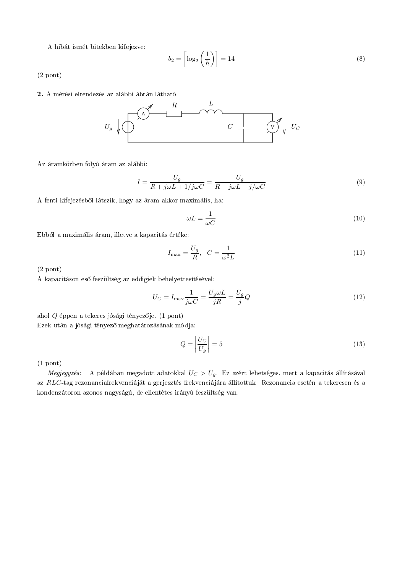A hibát ismét bitekben kifejezve:

$$
b_2 = \left[\log_2\left(\frac{1}{h}\right)\right] = 14\tag{8}
$$

 $(2$  pont)

2. A mérési elrendezés az alábbi ábrán látható:



Az áramkörben folyó áram az alábbi:

$$
I = \frac{U_g}{R + j\omega L + 1/j\omega C} = \frac{U_g}{R + j\omega L - j/\omega C}
$$
\n(9)

A fenti kifejezésből látszik, hogy az áram akkor maximális, ha:

$$
\omega L = \frac{1}{\omega C} \tag{10}
$$

Ebből a maximális áram, illetve a kapacitás értéke:

$$
I_{\max} = \frac{U_g}{R}, \quad C = \frac{1}{\omega^2 L} \tag{11}
$$

 $(2$  pont)

A kapacitáson eső feszültség az eddigiek behelyettesítésével:

$$
U_C = I_{\text{max}} \frac{1}{j\omega C} = \frac{U_g \omega L}{jR} = \frac{U_g}{j} Q \tag{12}
$$

ahol  $Q$  éppen a tekercs jósági tényezője. (1 pont) Ezek után a jósági tényező meghatározásának módja:

$$
Q = \left| \frac{U_C}{U_g} \right| = 5 \tag{13}
$$

 $(1$  pont)

Megjegyzés: A példában megadott adatokkal  $U_C > U_g$ . Ez azért lehetséges, mert a kapacitás állításával az RLC-tag rezonanciafrekvenciáját a gerjesztés frekvenciájára állítottuk. Rezonancia esetén a tekercsen és a kondenzátoron azonos nagyságú, de ellentétes irányú feszültség van.